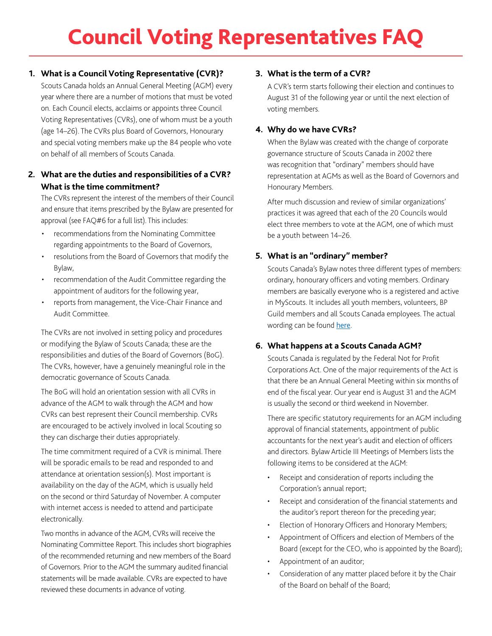# Council Voting Representatives FAQ

## **1. What is a Council Voting Representative (CVR)?**

Scouts Canada holds an Annual General Meeting (AGM) every year where there are a number of motions that must be voted on. Each Council elects, acclaims or appoints three Council Voting Representatives (CVRs), one of whom must be a youth (age 14–26). The CVRs plus Board of Governors, Honourary and special voting members make up the 84 people who vote on behalf of all members of Scouts Canada.

# **2. What are the duties and responsibilities of a CVR? What is the time commitment?**

The CVRs represent the interest of the members of their Council and ensure that items prescribed by the Bylaw are presented for approval (see FAQ#6 for a full list). This includes:

- recommendations from the Nominating Committee regarding appointments to the Board of Governors,
- resolutions from the Board of Governors that modify the Bylaw,
- recommendation of the Audit Committee regarding the appointment of auditors for the following year,
- reports from management, the Vice-Chair Finance and Audit Committee.

The CVRs are not involved in setting policy and procedures or modifying the Bylaw of Scouts Canada; these are the responsibilities and duties of the Board of Governors (BoG). The CVRs, however, have a genuinely meaningful role in the democratic governance of Scouts Canada.

The BoG will hold an orientation session with all CVRs in advance of the AGM to walk through the AGM and how CVRs can best represent their Council membership. CVRs are encouraged to be actively involved in local Scouting so they can discharge their duties appropriately.

The time commitment required of a CVR is minimal. There will be sporadic emails to be read and responded to and attendance at orientation session(s). Most important is availability on the day of the AGM, which is usually held on the second or third Saturday of November. A computer with internet access is needed to attend and participate electronically.

Two months in advance of the AGM, CVRs will receive the Nominating Committee Report. This includes short biographies of the recommended returning and new members of the Board of Governors. Prior to the AGM the summary audited financial statements will be made available. CVRs are expected to have reviewed these documents in advance of voting.

# **3. What is the term of a CVR?**

A CVR's term starts following their election and continues to August 31 of the following year or until the next election of voting members.

## **4. Why do we have CVRs?**

When the Bylaw was created with the change of corporate governance structure of Scouts Canada in 2002 there was recognition that "ordinary" members should have representation at AGMs as well as the Board of Governors and Honourary Members.

After much discussion and review of similar organizations' practices it was agreed that each of the 20 Councils would elect three members to vote at the AGM, one of which must be a youth between 14–26.

# **5. What is an "ordinary" member?**

Scouts Canada's Bylaw notes three different types of members: ordinary, honourary officers and voting members. Ordinary members are basically everyone who is a registered and active in MyScouts. It includes all youth members, volunteers, BP Guild members and all Scouts Canada employees. The actual wording can be found [here](https://www.scouts.ca/resources/bpp/bylaw/article-2-members.html).

# **6. What happens at a Scouts Canada AGM?**

Scouts Canada is regulated by the Federal Not for Profit Corporations Act. One of the major requirements of the Act is that there be an Annual General Meeting within six months of end of the fiscal year. Our year end is August 31 and the AGM is usually the second or third weekend in November.

There are specific statutory requirements for an AGM including approval of financial statements, appointment of public accountants for the next year's audit and election of officers and directors. Bylaw Article III Meetings of Members lists the following items to be considered at the AGM:

- Receipt and consideration of reports including the Corporation's annual report;
- Receipt and consideration of the financial statements and the auditor's report thereon for the preceding year;
- Election of Honorary Officers and Honorary Members;
- Appointment of Officers and election of Members of the Board (except for the CEO, who is appointed by the Board);
- Appointment of an auditor;
- Consideration of any matter placed before it by the Chair of the Board on behalf of the Board;